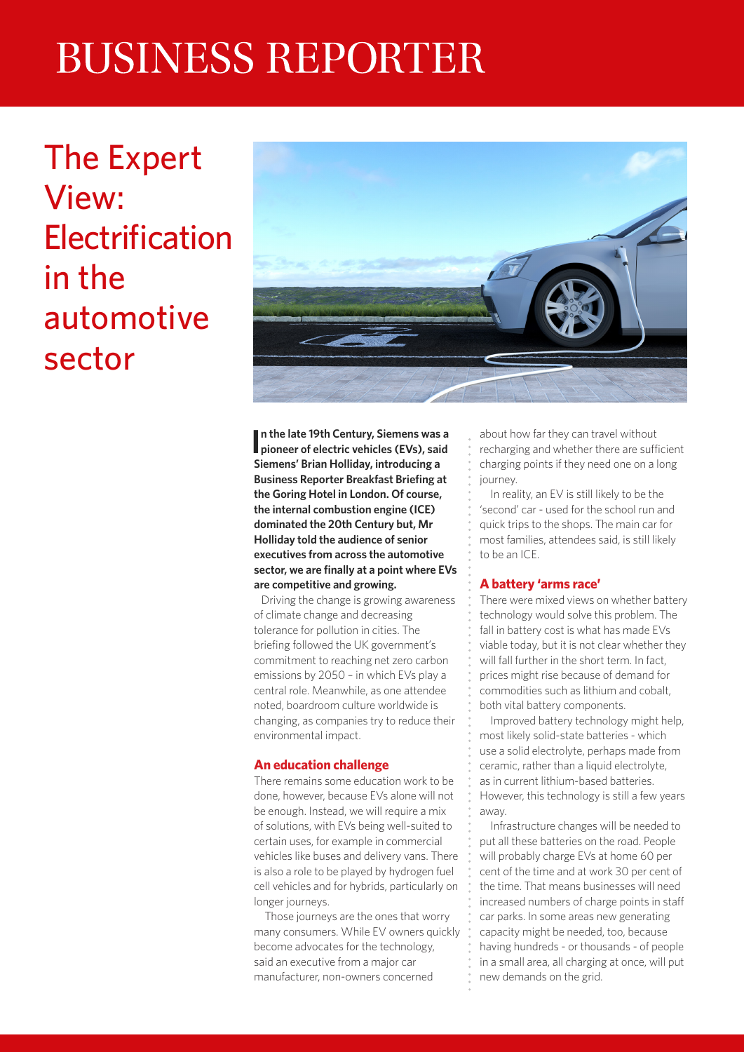# **BUSINESS REPORTER**

The Expert View: **Electrification** in the automotive sector



**In the late 19th Century, Siemens was a pioneer of electric vehicles (EVs), said n the late 19th Century, Siemens was a Siemens' Brian Holliday, introducing a Business Reporter Breakfast Briefing at the Goring Hotel in London. Of course, the internal combustion engine (ICE) dominated the 20th Century but, Mr Holliday told the audience of senior executives from across the automotive sector, we are finally at a point where EVs are competitive and growing.**

 Driving the change is growing awareness of climate change and decreasing tolerance for pollution in cities. The briefing followed the UK government's commitment to reaching net zero carbon emissions by 2050 – in which EVs play a central role. Meanwhile, as one attendee noted, boardroom culture worldwide is changing, as companies try to reduce their environmental impact.

### **An education challenge**

There remains some education work to be done, however, because EVs alone will not be enough. Instead, we will require a mix of solutions, with EVs being well-suited to certain uses, for example in commercial vehicles like buses and delivery vans. There is also a role to be played by hydrogen fuel cell vehicles and for hybrids, particularly on longer journeys.

Those journeys are the ones that worry many consumers. While EV owners quickly become advocates for the technology, said an executive from a major car manufacturer, non-owners concerned

about how far they can travel without recharging and whether there are sufficient charging points if they need one on a long journey.

In reality, an EV is still likely to be the 'second' car - used for the school run and quick trips to the shops. The main car for most families, attendees said, is still likely to be an ICE.

### **A battery 'arms race'**

There were mixed views on whether battery technology would solve this problem. The fall in battery cost is what has made EVs viable today, but it is not clear whether they will fall further in the short term. In fact, prices might rise because of demand for commodities such as lithium and cobalt, both vital battery components.

Improved battery technology might help, most likely solid-state batteries - which use a solid electrolyte, perhaps made from ceramic, rather than a liquid electrolyte, as in current lithium-based batteries. However, this technology is still a few years away.

Infrastructure changes will be needed to put all these batteries on the road. People will probably charge EVs at home 60 per cent of the time and at work 30 per cent of the time. That means businesses will need increased numbers of charge points in staff car parks. In some areas new generating capacity might be needed, too, because having hundreds - or thousands - of people in a small area, all charging at once, will put new demands on the grid.